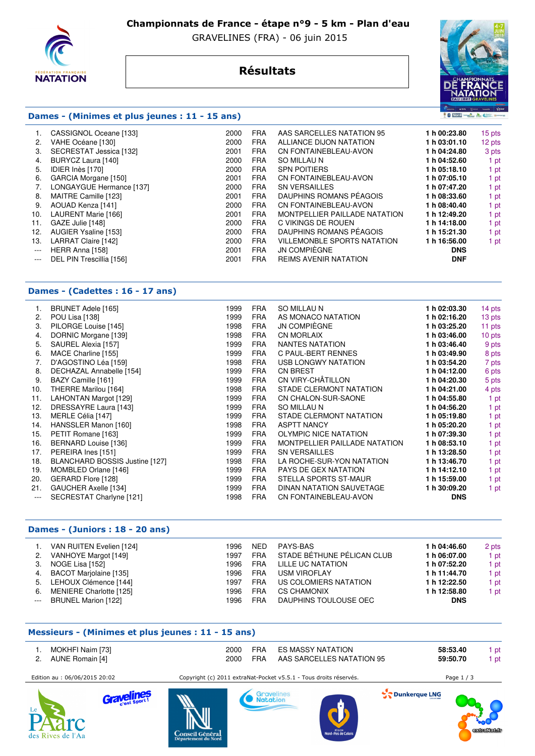

 **Championnats de France - étape n°9 - 5 km - Plan d'eau** 

GRAVELINES (FRA) - 06 juin 2015

# **Résultats**



### **Dames - (Minimes et plus jeunes : 11 - 15 ans)**

|                                          | CASSIGNOL Oceane [133]   | 2000 | <b>FRA</b> | AAS SARCELLES NATATION 95          | 1 h 00:23.80 | 15 pts |
|------------------------------------------|--------------------------|------|------------|------------------------------------|--------------|--------|
| 2.                                       | VAHE Océane [130]        | 2000 | <b>FRA</b> | ALLIANCE DIJON NATATION            | 1 h 03:01.10 | 12 pts |
| З.                                       | SECRESTAT Jessica [132]  | 2001 | <b>FRA</b> | CN FONTAINEBLEAU-AVON              | 1 h 04:24.80 | 3 pts  |
| 4.                                       | BURYCZ Laura [140]       | 2000 | <b>FRA</b> | SO MILLAU N                        | 1 h 04:52.60 | 1 pt   |
| 5.                                       | IDIER Inès [170]         | 2000 | <b>FRA</b> | <b>SPN POITIERS</b>                | 1 h 05:18.10 | 1 pt   |
| 6.                                       | GARCIA Morgane [150]     | 2001 | <b>FRA</b> | CN FONTAINEBLEAU-AVON              | 1 h 07:05.10 | 1 pt   |
|                                          | LONGAYGUE Hermance [137] | 2000 | <b>FRA</b> | <b>SN VERSAILLES</b>               | 1 h 07:47.20 | 1 pt   |
| 8.                                       | MAITRE Camille [123]     | 2001 | <b>FRA</b> | DAUPHINS ROMANS PÉAGOIS            | 1 h 08:33.60 | 1 pt   |
| 9.                                       | AOUAD Kenza [141]        | 2000 | <b>FRA</b> | CN FONTAINEBLEAU-AVON              | 1 h 08:40.40 | 1 pt   |
| 10.                                      | LAURENT Marie [166]      | 2001 | <b>FRA</b> | MONTPELLIER PAILLADE NATATION      | 1 h 12:49.20 | 1 pt   |
| 11.                                      | GAZE Julie [148]         | 2000 | <b>FRA</b> | C VIKINGS DE ROUEN                 | 1 h 14:18.00 | 1 pt   |
| 12.                                      | AUGIER Ysaline [153]     | 2000 | <b>FRA</b> | DAUPHINS ROMANS PÉAGOIS            | 1 h 15:21.30 | 1 pt   |
| 13.                                      | LARRAT Claire [142]      | 2000 | <b>FRA</b> | <b>VILLEMONBLE SPORTS NATATION</b> | 1 h 16:56.00 | 1 pt   |
| $\hspace{0.05cm} \ldots \hspace{0.05cm}$ | HERR Anna [158]          | 2001 | <b>FRA</b> | JN COMPIÈGNE                       | <b>DNS</b>   |        |
| $\cdots$                                 | DEL PIN Trescillia [156] | 2001 | <b>FRA</b> | <b>REIMS AVENIR NATATION</b>       | <b>DNF</b>   |        |
|                                          |                          |      |            |                                    |              |        |

### **Dames - (Cadettes : 16 - 17 ans)**

| 1.                         | BRUNET Adele [165]                                                                             | 1999                         | <b>FRA</b>                                           | <b>SO MILLAU N</b>                                                                                 | 1 h 02:03.30                                               | 14 pts               |
|----------------------------|------------------------------------------------------------------------------------------------|------------------------------|------------------------------------------------------|----------------------------------------------------------------------------------------------------|------------------------------------------------------------|----------------------|
| 2.                         | POU Lisa [138]                                                                                 | 1999                         | <b>FRA</b>                                           | AS MONACO NATATION                                                                                 | 1 h 02:16.20                                               | 13 pts               |
| 3.                         | PILORGE Louise [145]                                                                           | 1998                         | <b>FRA</b>                                           | <b>JN COMPIÈGNE</b>                                                                                | 1 h 03:25.20                                               | 11 pts               |
| 4.                         | DORNIC Morgane [139]                                                                           | 1998                         | <b>FRA</b>                                           | <b>CN MORLAIX</b>                                                                                  | 1 h 03:46.00                                               | 10 pts               |
| 5.                         | SAUREL Alexia [157]                                                                            | 1999                         | <b>FRA</b>                                           | NANTES NATATION                                                                                    | 1 h 03:46.40                                               | 9 pts                |
| 6.                         | MACE Charline [155]                                                                            | 1999                         | <b>FRA</b>                                           | C PAUL-BERT RENNES                                                                                 | 1 h 03:49.90                                               | 8 pts                |
| 7.                         | D'AGOSTINO Léa [159]                                                                           | 1998                         | <b>FRA</b>                                           | USB LONGWY NATATION                                                                                | 1 h 03:54.20                                               | 7 pts                |
| 8.                         | DECHAZAL Annabelle [154]                                                                       | 1999                         | <b>FRA</b>                                           | <b>CN BREST</b>                                                                                    | 1 h 04:12.00                                               | 6 pts                |
| 9.                         | BAZY Camille [161]                                                                             | 1999                         | <b>FRA</b>                                           | CN VIRY-CHÂTILLON                                                                                  | 1 h 04:20.30                                               | 5 pts                |
| 10.                        | THERRE Marilou [164]                                                                           | 1998                         | <b>FRA</b>                                           | STADE CLERMONT NATATION                                                                            | 1 h 04:21.00                                               | 4 pts                |
| 11.                        | LAHONTAN Margot [129]                                                                          | 1999                         | <b>FRA</b>                                           | CN CHALON-SUR-SAONE                                                                                | 1 h 04:55.80                                               | 1 pt                 |
| 12.                        | DRESSAYRE Laura [143]                                                                          | 1999                         | <b>FRA</b>                                           | SO MILLAU N                                                                                        | 1 h 04:56.20                                               | 1 pt                 |
| 13.                        | MERLE Célia [147]                                                                              | 1999                         | <b>FRA</b>                                           | STADE CLERMONT NATATION                                                                            | 1 h 05:19.80                                               | 1 pt                 |
| 14.                        | HANSSLER Manon [160]                                                                           | 1998                         | <b>FRA</b>                                           | <b>ASPTT NANCY</b>                                                                                 | 1 h 05:20.20                                               | 1 pt                 |
| 15.                        | PETIT Romane [163]                                                                             | 1999                         | <b>FRA</b>                                           | <b>OLYMPIC NICE NATATION</b>                                                                       | 1 h 07:39.30                                               | 1 pt                 |
| 16.                        | BERNARD Louise [136]                                                                           | 1999                         | <b>FRA</b>                                           | MONTPELLIER PAILLADE NATATION                                                                      | 1 h 08:53.10                                               | 1 pt                 |
| 17.                        | PEREIRA Ines [151]                                                                             | 1999                         | <b>FRA</b>                                           | <b>SN VERSAILLES</b>                                                                               | 1 h 13:28.50                                               | 1 pt                 |
| 18.                        | BLANCHARD BOSSIS Justine [127]                                                                 | 1998                         | <b>FRA</b>                                           | LA ROCHE-SUR-YON NATATION                                                                          | 1 h 13:46.70                                               | 1 pt                 |
| 19.<br>20.<br>21.<br>$---$ | MOMBLED Orlane [146]<br>GERARD Flore [128]<br>GAUCHER Axelle [134]<br>SECRESTAT Charlyne [121] | 1999<br>1999<br>1999<br>1998 | <b>FRA</b><br><b>FRA</b><br><b>FRA</b><br><b>FRA</b> | PAYS DE GEX NATATION<br>STELLA SPORTS ST-MAUR<br>DINAN NATATION SAUVETAGE<br>CN FONTAINEBLEAU-AVON | 1 h 14:12.10<br>1 h 15:59.00<br>1 h 30:09.20<br><b>DNS</b> | 1 pt<br>1 pt<br>1 pt |

#### **Dames - (Juniors : 18 - 20 ans)**

| VAN RUITEN Evelien [124]<br>VANHOYE Margot [149]<br>2.<br>NOGE Lisa [152]<br>3.<br>BACOT Marjolaine [135]<br>4.<br>LEHOUX Clémence [144]<br>5.<br>MENIERE Charlotte [125]<br>6.<br>BRUNEL Marion [122]<br>$---$ | 1996<br>1997<br>1996<br>1996<br>1997<br>1996<br>1996 | <b>NED</b><br><b>FRA</b><br><b>FRA</b><br>FRA<br>FRA<br><b>FRA</b><br><b>FRA</b> | PAYS-BAS<br>STADE BÉTHUNE PÉLICAN CLUB<br>LILLE UC NATATION<br><b>USM VIROFLAY</b><br>US COLOMIERS NATATION<br><b>CS CHAMONIX</b><br>DAUPHINS TOULOUSE OEC | 1 h 04:46.60<br>1 h 06:07.00<br>1 h 07:52.20<br>1 h 11:44.70<br>1 h 12:22.50<br>1 h 12:58.80<br><b>DNS</b> | 2 pts<br>1 pt<br>1 pt<br>1 pt<br>1 pt<br>1 pt |
|-----------------------------------------------------------------------------------------------------------------------------------------------------------------------------------------------------------------|------------------------------------------------------|----------------------------------------------------------------------------------|------------------------------------------------------------------------------------------------------------------------------------------------------------|------------------------------------------------------------------------------------------------------------|-----------------------------------------------|
|-----------------------------------------------------------------------------------------------------------------------------------------------------------------------------------------------------------------|------------------------------------------------------|----------------------------------------------------------------------------------|------------------------------------------------------------------------------------------------------------------------------------------------------------|------------------------------------------------------------------------------------------------------------|-----------------------------------------------|

#### **Messieurs - (Minimes et plus jeunes : 11 - 15 ans)**

| 1. MOKHFI Naim [73]<br>2. AUNE Romain [4] |  | 2000 FRA ES MASSY NATATION<br>2000 FRA AAS SARCELLES NATATION 95 | 58:53.40<br>59:50.70 | 1 pt<br>1 pt |
|-------------------------------------------|--|------------------------------------------------------------------|----------------------|--------------|
|                                           |  |                                                                  |                      |              |



elin Grav







Dunkerque LNG

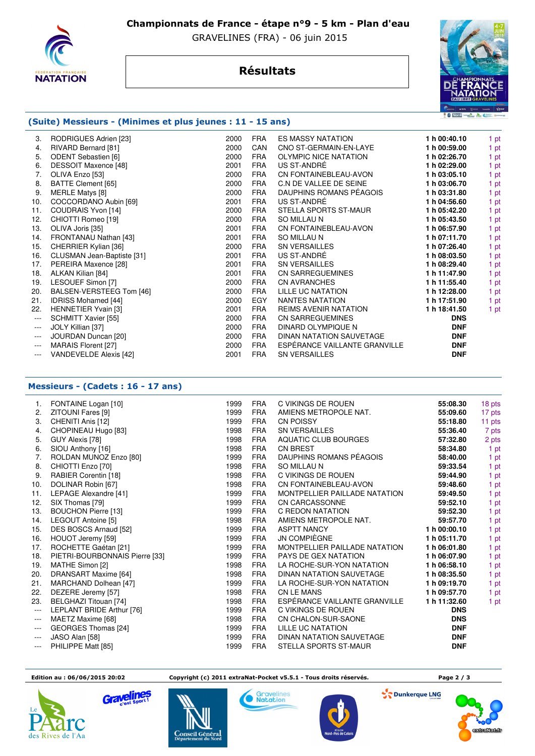

 **Championnats de France - étape n°9 - 5 km - Plan d'eau** 

GRAVELINES (FRA) - 06 juin 2015

# **Résultats**



## **(Suite) Messieurs - (Minimes et plus jeunes : 11 - 15 ans)**

| 3.      | RODRIGUES Adrien [23]      | 2000 | <b>FRA</b> | <b>ES MASSY NATATION</b>      | 1 h 00:40.10 | 1 pt |
|---------|----------------------------|------|------------|-------------------------------|--------------|------|
| 4.      | RIVARD Bernard [81]        | 2000 | CAN        | CNO ST-GERMAIN-EN-LAYE        | 1 h 00:59.00 | 1 pt |
| 5.      | <b>ODENT Sebastien [6]</b> | 2000 | <b>FRA</b> | <b>OLYMPIC NICE NATATION</b>  | 1 h 02:26.70 | 1 pt |
| 6.      | DESSOIT Maxence [48]       | 2001 | <b>FRA</b> | US ST-ANDRÉ                   | 1 h 02:29.00 | 1 pt |
| 7.      | OLIVA Enzo [53]            | 2000 | <b>FRA</b> | CN FONTAINEBLEAU-AVON         | 1 h 03:05.10 | 1 pt |
| 8.      | BATTE Clement [65]         | 2000 | <b>FRA</b> | C.N DE VALLEE DE SEINE        | 1 h 03:06.70 | 1 pt |
| 9.      | <b>MERLE Matys [8]</b>     | 2000 | <b>FRA</b> | DAUPHINS ROMANS PÉAGOIS       | 1 h 03:31.80 | 1 pt |
| 10.     | COCCORDANO Aubin [69]      | 2001 | <b>FRA</b> | US ST-ANDRÉ                   | 1 h 04:56.60 | 1 pt |
| 11.     | COUDRAIS Yvon [14]         | 2000 | <b>FRA</b> | STELLA SPORTS ST-MAUR         | 1 h 05:42.20 | 1 pt |
| 12.     | CHIOTTI Romeo [19]         | 2000 | <b>FRA</b> | <b>SO MILLAU N</b>            | 1 h 05:43.50 | 1 pt |
| 13.     | OLIVA Joris [35]           | 2001 | <b>FRA</b> | CN FONTAINEBLEAU-AVON         | 1 h 06:57.90 | 1 pt |
| 14.     | FRONTANAU Nathan [43]      | 2001 | <b>FRA</b> | <b>SO MILLAU N</b>            | 1 h 07:11.70 | 1 pt |
| 15.     | CHERRIER Kylian [36]       | 2000 | <b>FRA</b> | <b>SN VERSAILLES</b>          | 1 h 07:26.40 | 1 pt |
| 16.     | CLUSMAN Jean-Baptiste [31] | 2001 | <b>FRA</b> | US ST-ANDRÉ                   | 1 h 08:03.50 | 1 pt |
| 17.     | PEREIRA Maxence [28]       | 2001 | <b>FRA</b> | <b>SN VERSAILLES</b>          | 1 h 08:29.40 | 1 pt |
| 18.     | ALKAN Kilian [84]          | 2001 | <b>FRA</b> | <b>CN SARREGUEMINES</b>       | 1 h 11:47.90 | 1 pt |
| 19.     | LESOUEF Simon [7]          | 2000 | <b>FRA</b> | <b>CN AVRANCHES</b>           | 1 h 11:55.40 | 1 pt |
| 20.     | BALSEN-VERSTEEG Tom [46]   | 2000 | <b>FRA</b> | LILLE UC NATATION             | 1 h 12:28.00 | 1 pt |
| 21.     | <b>IDRISS Mohamed [44]</b> | 2000 | EGY        | NANTES NATATION               | 1 h 17:51.90 | 1 pt |
| 22.     | <b>HENNETIER Yvain [3]</b> | 2001 | <b>FRA</b> | <b>REIMS AVENIR NATATION</b>  | 1 h 18:41.50 | 1 pt |
| $---$   | SCHMITT Xavier [55]        | 2000 | <b>FRA</b> | <b>CN SARREGUEMINES</b>       | <b>DNS</b>   |      |
| $---$   | JOLY Killian [37]          | 2000 | <b>FRA</b> | DINARD OLYMPIQUE N            | <b>DNF</b>   |      |
| $---$   | JOURDAN Duncan [20]        | 2000 | <b>FRA</b> | DINAN NATATION SAUVETAGE      | <b>DNF</b>   |      |
| $---$   | MARAIS Florent [27]        | 2000 | <b>FRA</b> | ESPÉRANCE VAILLANTE GRANVILLE | <b>DNF</b>   |      |
| $- - -$ | VANDEVELDE Alexis [42]     | 2001 | <b>FRA</b> | <b>SN VERSAILLES</b>          | <b>DNF</b>   |      |
|         |                            |      |            |                               |              |      |

### **Messieurs - (Cadets : 16 - 17 ans)**

| 1.       | FONTAINE Logan [10]            | 1999 | <b>FRA</b> | C VIKINGS DE ROUEN            | 55:08.30     | 18 pts |
|----------|--------------------------------|------|------------|-------------------------------|--------------|--------|
| 2.       | ZITOUNI Fares [9]              | 1999 | <b>FRA</b> | AMIENS METROPOLE NAT.         | 55:09.60     | 17 pts |
| 3.       | CHENITI Anis [12]              | 1999 | <b>FRA</b> | <b>CN POISSY</b>              | 55:18.80     | 11 pts |
| 4.       | CHOPINEAU Hugo [83]            | 1998 | <b>FRA</b> | <b>SN VERSAILLES</b>          | 55:36.40     | 7 pts  |
| 5.       | GUY Alexis [78]                | 1998 | <b>FRA</b> | AQUATIC CLUB BOURGES          | 57:32.80     | 2 pts  |
| 6.       | SIOU Anthony [16]              | 1998 | <b>FRA</b> | <b>CN BREST</b>               | 58:34.80     | 1 pt   |
| 7.       | ROLDAN MUNOZ Enzo [80]         | 1999 | <b>FRA</b> | DAUPHINS ROMANS PÉAGOIS       | 58:40.00     | 1 pt   |
| 8.       | CHIOTTI Enzo [70]              | 1998 | <b>FRA</b> | <b>SO MILLAU N</b>            | 59:33.54     | 1 pt   |
| 9.       | RABIER Corentin [18]           | 1998 | <b>FRA</b> | C VIKINGS DE ROUEN            | 59:44.90     | 1 pt   |
| 10.      | DOLINAR Robin [67]             | 1998 | <b>FRA</b> | CN FONTAINEBLEAU-AVON         | 59:48.60     | 1 pt   |
| 11.      | LEPAGE Alexandre [41]          | 1999 | <b>FRA</b> | MONTPELLIER PAILLADE NATATION | 59:49.50     | 1 pt   |
| 12.      | SIX Thomas [79]                | 1999 | <b>FRA</b> | <b>CN CARCASSONNE</b>         | 59:52.10     | 1 pt   |
| 13.      | <b>BOUCHON Pierre [13]</b>     | 1999 | <b>FRA</b> | C REDON NATATION              | 59:52.30     | 1 pt   |
| 14.      | LEGOUT Antoine [5]             | 1998 | <b>FRA</b> | AMIENS METROPOLE NAT.         | 59:57.70     | 1 pt   |
| 15.      | DES BOSCS Arnaud [52]          | 1999 | <b>FRA</b> | <b>ASPTT NANCY</b>            | 1 h 00:00.10 | 1 pt   |
| 16.      | HOUOT Jeremy [59]              | 1999 | <b>FRA</b> | JN COMPIÈGNE                  | 1 h 05:11.70 | 1 pt   |
| 17.      | ROCHETTE Gaétan [21]           | 1999 | <b>FRA</b> | MONTPELLIER PAILLADE NATATION | 1 h 06:01.80 | 1 pt   |
| 18.      | PIETRI-BOURBONNAIS Pierre [33] | 1999 | <b>FRA</b> | <b>PAYS DE GEX NATATION</b>   | 1 h 06:07.90 | 1 pt   |
| 19.      | MATHE Simon [2]                | 1998 | <b>FRA</b> | LA ROCHE-SUR-YON NATATION     | 1 h 06:58.10 | 1 pt   |
| 20.      | DRANSART Maxime [64]           | 1998 | <b>FRA</b> | DINAN NATATION SAUVETAGE      | 1 h 08:35.50 | 1 pt   |
| 21.      | MARCHAND Dolhean [47]          | 1999 | <b>FRA</b> | LA ROCHE-SUR-YON NATATION     | 1 h 09:19.70 | 1 pt   |
| 22.      | DEZERE Jeremy [57]             | 1998 | <b>FRA</b> | <b>CN LE MANS</b>             | 1 h 09:57.70 | 1 pt   |
| 23.      | BELGHAZI Titouan [74]          | 1998 | <b>FRA</b> | ESPÉRANCE VAILLANTE GRANVILLE | 1 h 11:32.60 | 1 pt   |
| $---$    | LEPLANT BRIDE Arthur [76]      | 1999 | <b>FRA</b> | C VIKINGS DE ROUEN            | <b>DNS</b>   |        |
| $---$    | MAETZ Maxime [68]              | 1998 | <b>FRA</b> | CN CHALON-SUR-SAONE           | <b>DNS</b>   |        |
| $\cdots$ | GEORGES Thomas [24]            | 1999 | <b>FRA</b> | LILLE UC NATATION             | <b>DNF</b>   |        |
| $---$    | JASO Alan [58]                 | 1999 | <b>FRA</b> | DINAN NATATION SAUVETAGE      | <b>DNF</b>   |        |
| $---$    | PHILIPPE Matt [85]             | 1999 | <b>FRA</b> | STELLA SPORTS ST-MAUR         | <b>DNF</b>   |        |

 **Edition au : 06/06/2015 20:02 Copyright (c) 2011 extraNat-Pocket v5.5.1 - Tous droits réservés. Page 2 / 3** 



Gravelines





**S** Dunkerque LNG